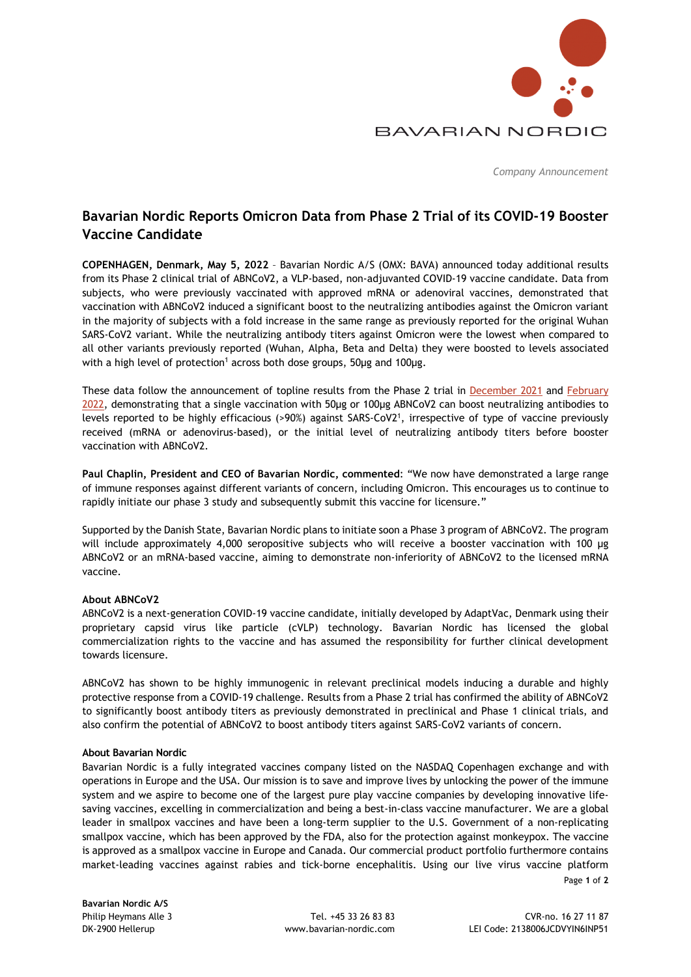

*Company Announcement* 

# **Bavarian Nordic Reports Omicron Data from Phase 2 Trial of its COVID-19 Booster Vaccine Candidate**

**COPENHAGEN, Denmark, May 5, 2022** – Bavarian Nordic A/S (OMX: BAVA) announced today additional results from its Phase 2 clinical trial of ABNCoV2, a VLP-based, non-adjuvanted COVID-19 vaccine candidate. Data from subjects, who were previously vaccinated with approved mRNA or adenoviral vaccines, demonstrated that vaccination with ABNCoV2 induced a significant boost to the neutralizing antibodies against the Omicron variant in the majority of subjects with a fold increase in the same range as previously reported for the original Wuhan SARS-CoV2 variant. While the neutralizing antibody titers against Omicron were the lowest when compared to all other variants previously reported (Wuhan, Alpha, Beta and Delta) they were boosted to levels associated with a high level of protection<sup>1</sup> across both dose groups, 50μg and 100μg.

These data follow the announcement of topline results from the Phase 2 trial in [December 2021](https://www.bavarian-nordic.com/investor/news/news.aspx?news=6440) and [February](https://www.bavarian-nordic.com/investor/news/news.aspx?news=6480)  [2022](https://www.bavarian-nordic.com/investor/news/news.aspx?news=6480), demonstrating that a single vaccination with 50μg or 100μg ABNCoV2 can boost neutralizing antibodies to levels reported to be highly efficacious (>90%) against SARS-CoV2<sup>1</sup>, irrespective of type of vaccine previously received (mRNA or adenovirus-based), or the initial level of neutralizing antibody titers before booster vaccination with ABNCoV2.

**Paul Chaplin, President and CEO of Bavarian Nordic, commented**: "We now have demonstrated a large range of immune responses against different variants of concern, including Omicron. This encourages us to continue to rapidly initiate our phase 3 study and subsequently submit this vaccine for licensure."

Supported by the Danish State, Bavarian Nordic plans to initiate soon a Phase 3 program of ABNCoV2. The program will include approximately 4,000 seropositive subjects who will receive a booster vaccination with 100 μg ABNCoV2 or an mRNA-based vaccine, aiming to demonstrate non-inferiority of ABNCoV2 to the licensed mRNA vaccine.

## **About ABNCoV2**

ABNCoV2 is a next-generation COVID-19 vaccine candidate, initially developed by AdaptVac, Denmark using their proprietary capsid virus like particle (cVLP) technology. Bavarian Nordic has licensed the global commercialization rights to the vaccine and has assumed the responsibility for further clinical development towards licensure.

ABNCoV2 has shown to be highly immunogenic in relevant preclinical models inducing a durable and highly protective response from a COVID-19 challenge. Results from a Phase 2 trial has confirmed the ability of ABNCoV2 to significantly boost antibody titers as previously demonstrated in preclinical and Phase 1 clinical trials, and also confirm the potential of ABNCoV2 to boost antibody titers against SARS-CoV2 variants of concern.

## **About Bavarian Nordic**

Bavarian Nordic is a fully integrated vaccines company listed on the NASDAQ Copenhagen exchange and with operations in Europe and the USA. Our mission is to save and improve lives by unlocking the power of the immune system and we aspire to become one of the largest pure play vaccine companies by developing innovative lifesaving vaccines, excelling in commercialization and being a best-in-class vaccine manufacturer. We are a global leader in smallpox vaccines and have been a long-term supplier to the U.S. Government of a non-replicating smallpox vaccine, which has been approved by the FDA, also for the protection against monkeypox. The vaccine is approved as a smallpox vaccine in Europe and Canada. Our commercial product portfolio furthermore contains market-leading vaccines against rabies and tick-borne encephalitis. Using our live virus vaccine platform

**Bavarian Nordic A/S**